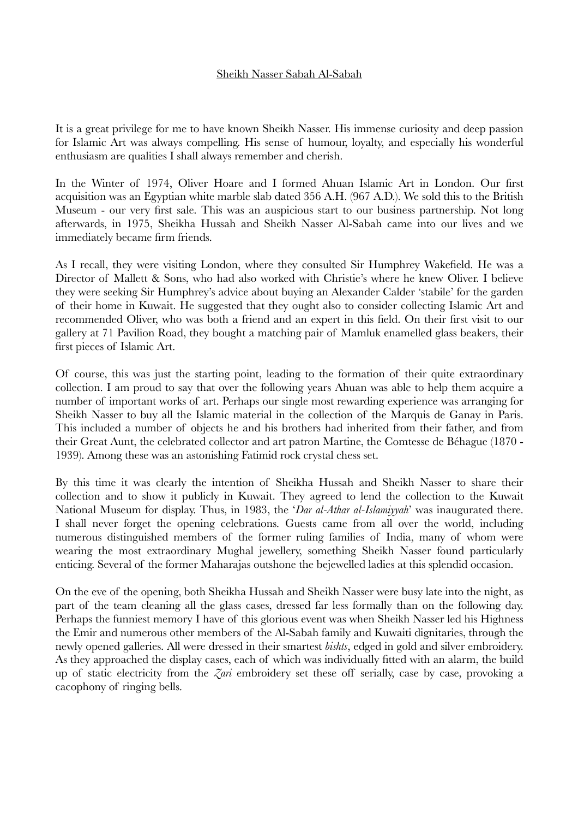## Sheikh Nasser Sabah Al-Sabah

It is a great privilege for me to have known Sheikh Nasser. His immense curiosity and deep passion for Islamic Art was always compelling. His sense of humour, loyalty, and especially his wonderful enthusiasm are qualities I shall always remember and cherish.

In the Winter of 1974, Oliver Hoare and I formed Ahuan Islamic Art in London. Our first acquisition was an Egyptian white marble slab dated 356 A.H. (967 A.D.). We sold this to the British Museum - our very first sale. This was an auspicious start to our business partnership. Not long afterwards, in 1975, Sheikha Hussah and Sheikh Nasser Al-Sabah came into our lives and we immediately became firm friends.

As I recall, they were visiting London, where they consulted Sir Humphrey Wakefield. He was a Director of Mallett & Sons, who had also worked with Christie's where he knew Oliver. I believe they were seeking Sir Humphrey's advice about buying an Alexander Calder 'stabile' for the garden of their home in Kuwait. He suggested that they ought also to consider collecting Islamic Art and recommended Oliver, who was both a friend and an expert in this field. On their first visit to our gallery at 71 Pavilion Road, they bought a matching pair of Mamluk enamelled glass beakers, their first pieces of Islamic Art.

Of course, this was just the starting point, leading to the formation of their quite extraordinary collection. I am proud to say that over the following years Ahuan was able to help them acquire a number of important works of art. Perhaps our single most rewarding experience was arranging for Sheikh Nasser to buy all the Islamic material in the collection of the Marquis de Ganay in Paris. This included a number of objects he and his brothers had inherited from their father, and from their Great Aunt, the celebrated collector and art patron Martine, the Comtesse de Béhague (1870 - 1939). Among these was an astonishing Fatimid rock crystal chess set.

By this time it was clearly the intention of Sheikha Hussah and Sheikh Nasser to share their collection and to show it publicly in Kuwait. They agreed to lend the collection to the Kuwait National Museum for display. Thus, in 1983, the '*Dar al-Athar al-Islamiyyah*' was inaugurated there. I shall never forget the opening celebrations. Guests came from all over the world, including numerous distinguished members of the former ruling families of India, many of whom were wearing the most extraordinary Mughal jewellery, something Sheikh Nasser found particularly enticing. Several of the former Maharajas outshone the bejewelled ladies at this splendid occasion.

On the eve of the opening, both Sheikha Hussah and Sheikh Nasser were busy late into the night, as part of the team cleaning all the glass cases, dressed far less formally than on the following day. Perhaps the funniest memory I have of this glorious event was when Sheikh Nasser led his Highness the Emir and numerous other members of the Al-Sabah family and Kuwaiti dignitaries, through the newly opened galleries. All were dressed in their smartest *bishts*, edged in gold and silver embroidery. As they approached the display cases, each of which was individually fitted with an alarm, the build up of static electricity from the *Zari* embroidery set these off serially, case by case, provoking a cacophony of ringing bells.